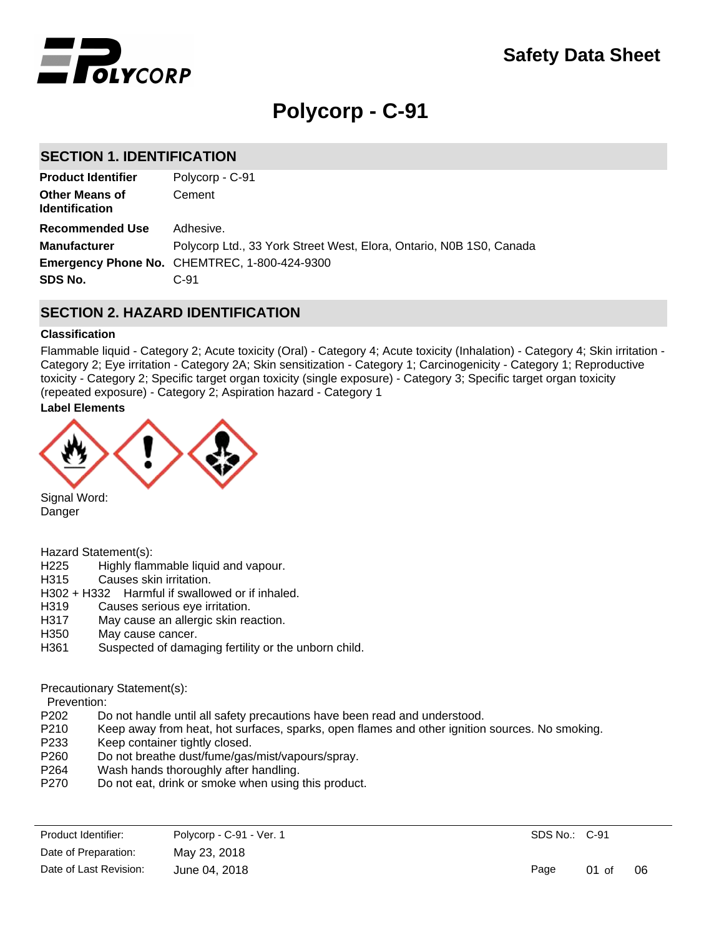

# **Polycorp - C-91**

## **SECTION 1. IDENTIFICATION**

| Polycorp - C-91                                                     |
|---------------------------------------------------------------------|
| Cement                                                              |
| Adhesive.                                                           |
| Polycorp Ltd., 33 York Street West, Elora, Ontario, N0B 1S0, Canada |
| <b>Emergency Phone No. CHEMTREC, 1-800-424-9300</b>                 |
| $C-91$                                                              |
|                                                                     |

## **SECTION 2. HAZARD IDENTIFICATION**

### **Classification**

Flammable liquid - Category 2; Acute toxicity (Oral) - Category 4; Acute toxicity (Inhalation) - Category 4; Skin irritation - Category 2; Eye irritation - Category 2A; Skin sensitization - Category 1; Carcinogenicity - Category 1; Reproductive toxicity - Category 2; Specific target organ toxicity (single exposure) - Category 3; Specific target organ toxicity (repeated exposure) - Category 2; Aspiration hazard - Category 1

## **Label Elements**



Signal Word: Danger

Hazard Statement(s):

- H225 Highly flammable liquid and vapour.
- H315 Causes skin irritation.
- H302 + H332 Harmful if swallowed or if inhaled.
- H319 Causes serious eye irritation.
- H317 May cause an allergic skin reaction.
- H350 May cause cancer.
- H361 Suspected of damaging fertility or the unborn child.

Precautionary Statement(s):

Prevention:

- P202 Do not handle until all safety precautions have been read and understood.<br>P210 Keep away from heat, hot surfaces, sparks, open flames and other ignition
- Keep away from heat, hot surfaces, sparks, open flames and other ignition sources. No smoking.
- P233 Keep container tightly closed.
- P260 Do not breathe dust/fume/gas/mist/vapours/spray.
- P264 Wash hands thoroughly after handling.
- P270 Do not eat, drink or smoke when using this product.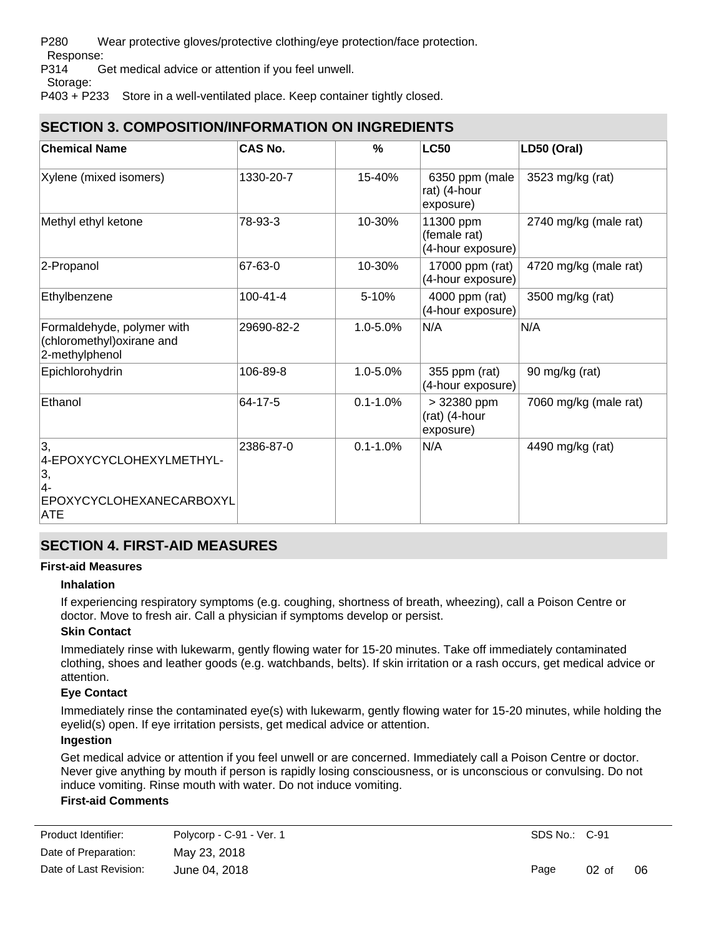P280 Wear protective gloves/protective clothing/eye protection/face protection.

Response:

P314 Get medical advice or attention if you feel unwell.

Storage:

P403 + P233 Store in a well-ventilated place. Keep container tightly closed.

## **SECTION 3. COMPOSITION/INFORMATION ON INGREDIENTS**

| <b>Chemical Name</b>                                                            | <b>CAS No.</b> | %            | <b>LC50</b>                                    | LD50 (Oral)           |
|---------------------------------------------------------------------------------|----------------|--------------|------------------------------------------------|-----------------------|
| Xylene (mixed isomers)                                                          | 1330-20-7      | 15-40%       | 6350 ppm (male<br>rat) (4-hour<br>exposure)    | 3523 mg/kg (rat)      |
| Methyl ethyl ketone                                                             | 78-93-3        | 10-30%       | 11300 ppm<br>(female rat)<br>(4-hour exposure) | 2740 mg/kg (male rat) |
| 2-Propanol                                                                      | 67-63-0        | 10-30%       | 17000 ppm (rat)<br>(4-hour exposure)           | 4720 mg/kg (male rat) |
| Ethylbenzene                                                                    | 100-41-4       | 5-10%        | 4000 ppm (rat)<br>(4-hour exposure)            | 3500 mg/kg (rat)      |
| Formaldehyde, polymer with<br>(chloromethyl) oxirane and<br>2-methylphenol      | 29690-82-2     | 1.0-5.0%     | N/A                                            | N/A                   |
| Epichlorohydrin                                                                 | 106-89-8       | 1.0-5.0%     | 355 ppm (rat)<br>(4-hour exposure)             | 90 mg/kg (rat)        |
| Ethanol                                                                         | 64-17-5        | $0.1 - 1.0%$ | > 32380 ppm<br>(rat) (4-hour<br>exposure)      | 7060 mg/kg (male rat) |
| 3,<br>4-EPOXYCYCLOHEXYLMETHYL-<br>3,<br> 4-<br>EPOXYCYCLOHEXANECARBOXYL<br> ATE | 2386-87-0      | $0.1 - 1.0%$ | N/A                                            | 4490 mg/kg (rat)      |

## **SECTION 4. FIRST-AID MEASURES**

## **First-aid Measures**

### **Inhalation**

If experiencing respiratory symptoms (e.g. coughing, shortness of breath, wheezing), call a Poison Centre or doctor. Move to fresh air. Call a physician if symptoms develop or persist.

## **Skin Contact**

Immediately rinse with lukewarm, gently flowing water for 15-20 minutes. Take off immediately contaminated clothing, shoes and leather goods (e.g. watchbands, belts). If skin irritation or a rash occurs, get medical advice or attention.

## **Eye Contact**

Immediately rinse the contaminated eye(s) with lukewarm, gently flowing water for 15-20 minutes, while holding the eyelid(s) open. If eye irritation persists, get medical advice or attention.

### **Ingestion**

Get medical advice or attention if you feel unwell or are concerned. Immediately call a Poison Centre or doctor. Never give anything by mouth if person is rapidly losing consciousness, or is unconscious or convulsing. Do not induce vomiting. Rinse mouth with water. Do not induce vomiting.

## **First-aid Comments**

| Product Identifier:    | Polycorp - C-91 - Ver. 1 |
|------------------------|--------------------------|
| Date of Preparation:   | May 23, 2018             |
| Date of Last Revision: | June 04, 2018            |

Get medical advice or attention if you feel unwell or are concerned.

Page 02 of 06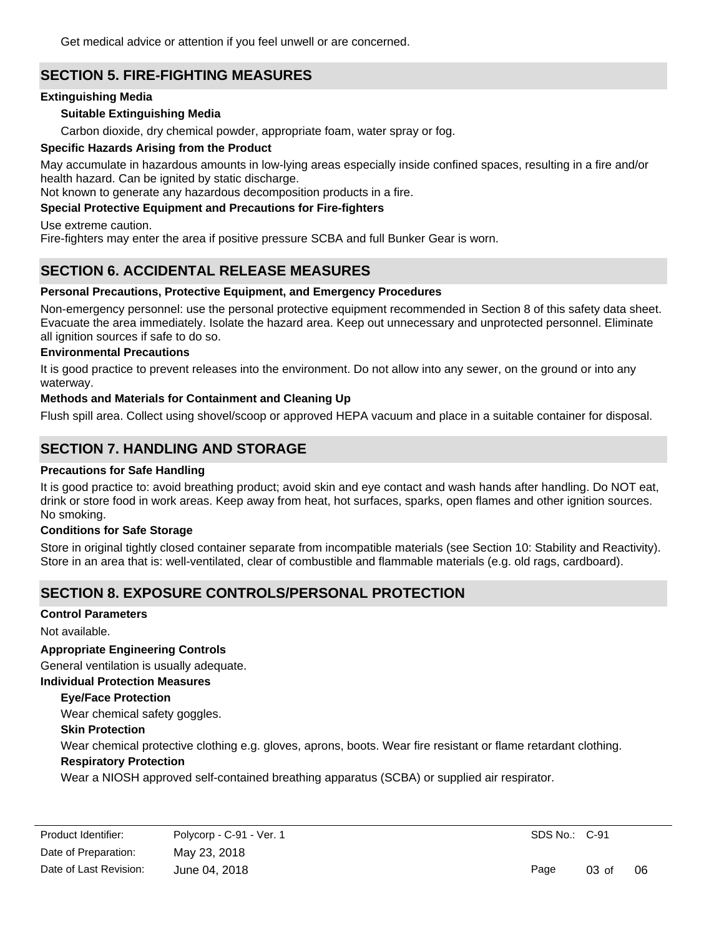Get medical advice or attention if you feel unwell or are concerned.

## **SECTION 5. FIRE-FIGHTING MEASURES**

### **Extinguishing Media**

### **Suitable Extinguishing Media**

Carbon dioxide, dry chemical powder, appropriate foam, water spray or fog.

### **Specific Hazards Arising from the Product**

May accumulate in hazardous amounts in low-lying areas especially inside confined spaces, resulting in a fire and/or health hazard. Can be ignited by static discharge.

Not known to generate any hazardous decomposition products in a fire.

### **Special Protective Equipment and Precautions for Fire-fighters**

Use extreme caution.

Fire-fighters may enter the area if positive pressure SCBA and full Bunker Gear is worn.

## **SECTION 6. ACCIDENTAL RELEASE MEASURES**

### **Personal Precautions, Protective Equipment, and Emergency Procedures**

Non-emergency personnel: use the personal protective equipment recommended in Section 8 of this safety data sheet. Evacuate the area immediately. Isolate the hazard area. Keep out unnecessary and unprotected personnel. Eliminate all ignition sources if safe to do so.

### **Environmental Precautions**

It is good practice to prevent releases into the environment. Do not allow into any sewer, on the ground or into any waterway.

### **Methods and Materials for Containment and Cleaning Up**

Flush spill area. Collect using shovel/scoop or approved HEPA vacuum and place in a suitable container for disposal.

## **SECTION 7. HANDLING AND STORAGE**

### **Precautions for Safe Handling**

It is good practice to: avoid breathing product; avoid skin and eye contact and wash hands after handling. Do NOT eat, drink or store food in work areas. Keep away from heat, hot surfaces, sparks, open flames and other ignition sources. No smoking.

### **Conditions for Safe Storage**

Store in original tightly closed container separate from incompatible materials (see Section 10: Stability and Reactivity). Store in an area that is: well-ventilated, clear of combustible and flammable materials (e.g. old rags, cardboard).

## **SECTION 8. EXPOSURE CONTROLS/PERSONAL PROTECTION**

### **Control Parameters**

Not available.

### **Appropriate Engineering Controls**

General ventilation is usually adequate.

### **Individual Protection Measures**

### **Eye/Face Protection**

Wear chemical safety goggles.

### **Skin Protection**

Wear chemical protective clothing e.g. gloves, aprons, boots. Wear fire resistant or flame retardant clothing.

### **Respiratory Protection**

Wear a NIOSH approved self-contained breathing apparatus (SCBA) or supplied air respirator.

Page 03 of 06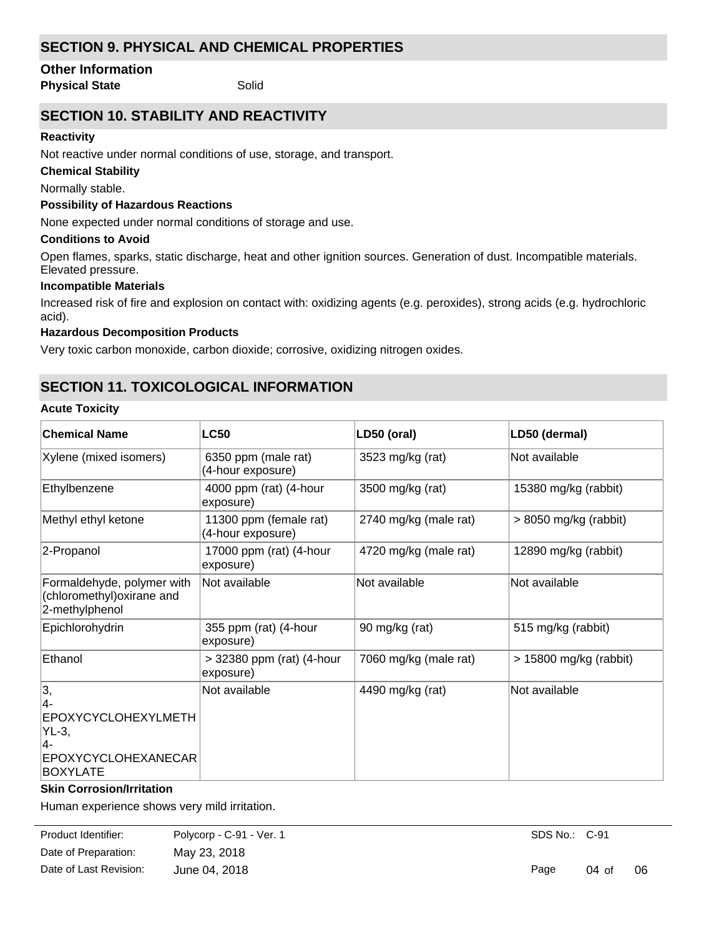## **SECTION 9. PHYSICAL AND CHEMICAL PROPERTIES**

### **Other Information**

**Physical State** Solid

## **SECTION 10. STABILITY AND REACTIVITY**

## **Reactivity**

Not reactive under normal conditions of use, storage, and transport.

## **Chemical Stability**

Normally stable.

## **Possibility of Hazardous Reactions**

None expected under normal conditions of storage and use.

## **Conditions to Avoid**

Open flames, sparks, static discharge, heat and other ignition sources. Generation of dust. Incompatible materials. Elevated pressure.

## **Incompatible Materials**

Increased risk of fire and explosion on contact with: oxidizing agents (e.g. peroxides), strong acids (e.g. hydrochloric acid).

## **Hazardous Decomposition Products**

Very toxic carbon monoxide, carbon dioxide; corrosive, oxidizing nitrogen oxides.

## **SECTION 11. TOXICOLOGICAL INFORMATION**

## **Acute Toxicity**

| <b>Chemical Name</b>                                                                                | <b>LC50</b>                                 | LD50 (oral)           | LD50 (dermal)            |
|-----------------------------------------------------------------------------------------------------|---------------------------------------------|-----------------------|--------------------------|
| Xylene (mixed isomers)                                                                              | 6350 ppm (male rat)<br>(4-hour exposure)    | 3523 mg/kg (rat)      | Not available            |
| Ethylbenzene                                                                                        | 4000 ppm (rat) (4-hour<br>exposure)         | 3500 mg/kg (rat)      | 15380 mg/kg (rabbit)     |
| Methyl ethyl ketone                                                                                 | 11300 ppm (female rat)<br>(4-hour exposure) | 2740 mg/kg (male rat) | $> 8050$ mg/kg (rabbit)  |
| 2-Propanol                                                                                          | 17000 ppm (rat) (4-hour<br>exposure)        | 4720 mg/kg (male rat) | 12890 mg/kg (rabbit)     |
| Formaldehyde, polymer with<br>(chloromethyl)oxirane and<br>2-methylphenol                           | Not available                               | Not available         | Not available            |
| Epichlorohydrin                                                                                     | 355 ppm (rat) (4-hour<br>exposure)          | 90 mg/kg (rat)        | 515 mg/kg (rabbit)       |
| Ethanol                                                                                             | > 32380 ppm (rat) (4-hour<br>exposure)      | 7060 mg/kg (male rat) | $> 15800$ mg/kg (rabbit) |
| 3,<br>$4-$<br><b>EPOXYCYCLOHEXYLMETH</b><br>$YL-3,$<br>4-<br>EPOXYCYCLOHEXANECAR<br><b>BOXYLATE</b> | Not available                               | 4490 mg/kg (rat)      | Not available            |

### **Skin Corrosion/Irritation**

Human experience shows very mild irritation.

**Serious Eye Damage/Irritation** Date of Preparation: May 23, 2018 Product Identifier: Polycorp - C-91 - Ver. 1 Date of Last Revision: June 04, 2018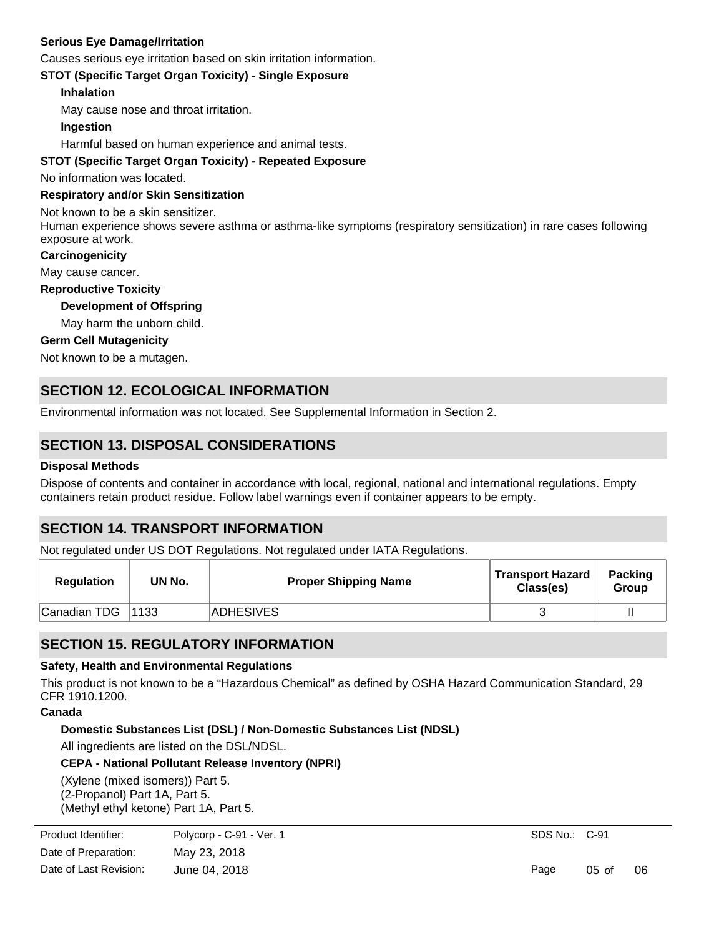### **Serious Eye Damage/Irritation**

Causes serious eye irritation based on skin irritation information.

**STOT (Specific Target Organ Toxicity) - Single Exposure**

### **Inhalation**

May cause nose and throat irritation.

### **Ingestion**

Harmful based on human experience and animal tests.

### **STOT (Specific Target Organ Toxicity) - Repeated Exposure**

No information was located.

### **Respiratory and/or Skin Sensitization**

Not known to be a skin sensitizer.

Human experience shows severe asthma or asthma-like symptoms (respiratory sensitization) in rare cases following exposure at work.

### **Carcinogenicity**

May cause cancer.

**Reproductive Toxicity**

### **Development of Offspring**

May harm the unborn child.

### **Germ Cell Mutagenicity**

Not known to be a mutagen.

## **SECTION 12. ECOLOGICAL INFORMATION**

Environmental information was not located. See Supplemental Information in Section 2.

## **SECTION 13. DISPOSAL CONSIDERATIONS**

### **Disposal Methods**

Dispose of contents and container in accordance with local, regional, national and international regulations. Empty containers retain product residue. Follow label warnings even if container appears to be empty.

## **SECTION 14. TRANSPORT INFORMATION**

Not regulated under US DOT Regulations. Not regulated under IATA Regulations.

| <b>Regulation</b> | UN No. | <b>Proper Shipping Name</b> | <b>Transport Hazard</b><br>Class(es) | <b>Packing</b><br>Group |
|-------------------|--------|-----------------------------|--------------------------------------|-------------------------|
| Canadian TDG      | 1133   | ADHESIVES                   |                                      |                         |

## **SECTION 15. REGULATORY INFORMATION**

### **Safety, Health and Environmental Regulations**

This product is not known to be a "Hazardous Chemical" as defined by OSHA Hazard Communication Standard, 29 CFR 1910.1200.

### **Canada**

**Domestic Substances List (DSL) / Non-Domestic Substances List (NDSL)**

All ingredients are listed on the DSL/NDSL.

### **CEPA - National Pollutant Release Inventory (NPRI)**

(Xylene (mixed isomers)) Part 5. (2-Propanol) Part 1A, Part 5. (Methyl ethyl ketone) Part 1A, Part 5.

(Ethylbenzene) Part 1A.

| Product Identifier:    | Polycorp - C-91 - Ver. 1 |
|------------------------|--------------------------|
| Date of Preparation:   | May 23, 2018             |
| Date of Last Revision: | June 04, 2018            |